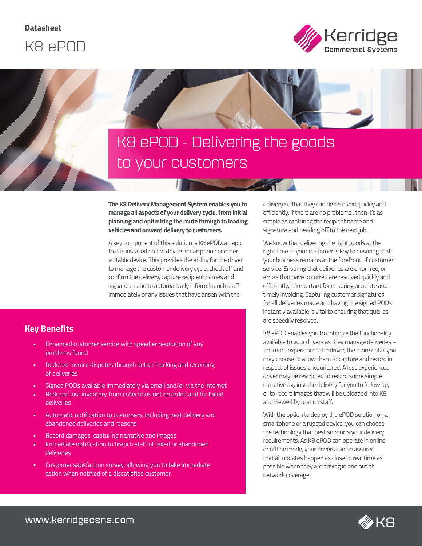**Datasheet**





# K8 ePOD - Delivering the goods to your customers

**The K8 Delivery Management System enables you to manage all aspects of your delivery cycle, from initial planning and optimizing the route through to loading vehicles and onward delivery to customers.** 

A key component of this solution is K8 ePOD, an app that is installed on the drivers smartphone or other suitable device. This provides the ability for the driver to manage the customer delivery cycle, check off and confirm the delivery, capture recipient names and signatures and to automatically inform branch staff immediately of any issues that have arisen with the

### **Key Benefits**

- Enhanced customer service with speedier resolution of any problems found
- Reduced invoice disputes through better tracking and recording of deliveries
- Signed PODs available immediately via email and/or via the internet
- Reduced lost inventory from collections not recorded and for failed deliveries
- Automatic notification to customers, including next delivery and abandoned deliveries and reasons
- Record damages, capturing narrative and images
- Immediate notification to branch staff of failed or abandoned deliveries
- Customer satisfaction survey, allowing you to take immediate action when notified of a dissatisfied customer

delivery so that they can be resolved quickly and efficiently. If there are no problems , then it's as simple as capturing the recipient name and signature and heading off to the next job.

We know that delivering the right goods at the right time to your customer is key to ensuring that your business remains at the forefront of customer service. Ensuring that deliveries are error free, or errors that have occurred are resolved quickly and efficiently, is important for ensuring accurate and timely invoicing. Capturing customer signatures for all deliveries made and having the signed PODs instantly available is vital to ensuring that queries are speedily resolved.

K8 ePOD enables you to optimize the functionality available to your drivers as they manage deliveries – the more experienced the driver, the more detail you may choose to allow them to capture and record in respect of issues encountered. A less experienced driver may be restricted to record some simple narrative against the delivery for you to follow up, or to record images that will be uploaded into K8 and viewed by branch staff.

With the option to deploy the ePOD solution on a smartphone or a rugged device, you can choose the technology that best supports your delivery requirements. As K8 ePOD can operate in online or offline mode, your drivers can be assured that all updates happen as close to real time as possible when they are driving in and out of network coverage.